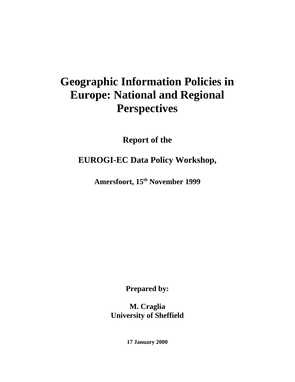# **Geographic Information Policies in Europe: National and Regional Perspectives**

**Report of the**

**EUROGI-EC Data Policy Workshop,**

**Amersfoort, 15th November 1999**

**Prepared by:**

**M. Craglia University of Sheffield**

**17 January 2000**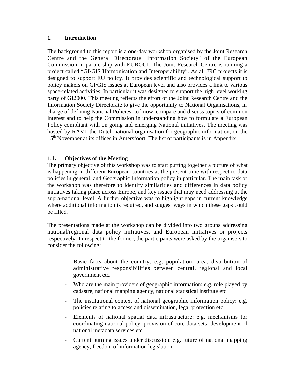#### **1. Introduction**

The background to this report is a one-day workshop organised by the Joint Research Centre and the General Directorate "Information Society" of the European Commission in partnership with EUROGI. The Joint Research Centre is running a project called "GI/GIS Harmonisation and Interoperability". As all JRC projects it is designed to support EU policy. It provides scientific and technological support to policy makers on GI/GIS issues at European level and also provides a link to various space-related activities. In particular it was designed to support the high level working party of GI2000. This meeting reflects the effort of the Joint Research Centre and the Information Society Directorate to give the opportunity to National Organisations, in charge of defining National Policies, to know, compare and discuss topics of common interest and to help the Commission in understanding how to formulate a European Policy compliant with on going and emerging National initiatives. The meeting was hosted by RAVI, the Dutch national organisation for geographic information, on the 15<sup>th</sup> November at its offices in Amersfoort. The list of participants is in Appendix 1.

## **1.1. Objectives of the Meeting**

The primary objective of this workshop was to start putting together a picture of what is happening in different European countries at the present time with respect to data policies in general, and Geographic Information policy in particular. The main task of the workshop was therefore to identify similarities and differences in data policy initiatives taking place across Europe, and key issues that may need addressing at the supra-national level. A further objective was to highlight gaps in current knowledge where additional information is required, and suggest ways in which these gaps could be filled.

The presentations made at the workshop can be divided into two groups addressing national/regional data policy initiatives, and European initiatives or projects respectively. In respect to the former, the participants were asked by the organisers to consider the following:

- Basic facts about the country: e.g. population, area, distribution of administrative responsibilities between central, regional and local government etc.
- Who are the main providers of geographic information: e.g. role played by cadastre, national mapping agency, national statistical institute etc.
- The institutional context of national geographic information policy: e.g. policies relating to access and dissemination, legal protection etc.
- Elements of national spatial data infrastructure: e.g. mechanisms for coordinating national policy, provision of core data sets, development of national metadata services etc.
- Current burning issues under discussion: e.g. future of national mapping agency, freedom of information legislation.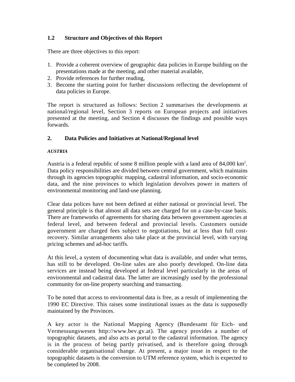## **1.2 Structure and Objectives of this Report**

There are three objectives to this report:

- 1. Provide a coherent overview of geographic data policies in Europe building on the presentations made at the meeting, and other material available,
- 2. Provide references for further reading,
- 3. Become the starting point for further discussions reflecting the development of data policies in Europe.

The report is structured as follows: Section 2 summarises the developments at national/regional level, Section 3 reports on European projects and initiatives presented at the meeting, and Section 4 discusses the findings and possible ways forwards.

## **2. Data Policies and Initiatives at National/Regional level**

## *AUSTRIA*

Austria is a federal republic of some 8 million people with a land area of  $84,000 \text{ km}^2$ . Data policy responsibilities are divided between central government, which maintains through its agencies topographic mapping, cadastral information, and socio-economic data, and the nine provinces to which legislation devolves power in matters of environmental monitoring and land-use planning.

Clear data polices have not been defined at either national or provincial level. The general principle is that almost all data sets are charged for on a case-by-case basis. There are frameworks of agreements for sharing data between government agencies at federal level, and between federal and provincial levels. Customers outside government are charged fees subject to negotiations, but at less than full costrecovery. Similar arrangements also take place at the provincial level, with varying pricing schemes and ad-hoc tariffs.

At this level, a system of documenting what data is available, and under what terms, has still to be developed. On-line sales are also poorly developed. On-line data services are instead being developed at federal level particularly in the areas of environmental and cadastral data. The latter are increasingly used by the professional community for on-line property searching and transacting.

To be noted that access to environmental data is free, as a result of implementing the 1990 EC Directive. This raises some institutional issues as the data is supposedly maintained by the Provinces.

A key actor is the National Mapping Agency (Bundesamt für Eich- und Vermessungswesen http://www.bev.gv.at). The agency provides a number of topographic datasets, and also acts as portal to the cadastral information. The agency is in the process of being partly privatised, and is therefore going through considerable organisational change. At present, a major issue in respect to the topographic datasets is the conversion to UTM reference system, which is expected to be completed by 2008.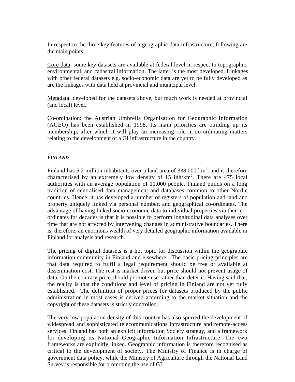In respect to the three key features of a geographic data infrastructure, following are the main points:

Core data: some key datasets are available at federal level in respect to topographic, environmental, and cadastral information. The latter is the most developed. Linkages with other federal datasets e.g. socio-economic data are yet to be fully developed as are the linkages with data held at provincial and municipal level.

Metadata: developed for the datasets above, but much work is needed at provincial (and local) level.

Co-ordination: the Austrian Umbrella Organisation for Geographic Information (AGEO) has been established in 1998. Its main priorities are building up its membership, after which it will play an increasing role in co-ordinating matters relating to the development of a GI infrastructure in the country.

#### *FINLAND*

Finland has 5.2 million inhabitants over a land area of  $338,000 \text{ km}^2$ , and is therefore characterised by an extremely low density of  $15$  inh/km<sup>2</sup>. There are  $475$  local authorities with an average population of 11,000 people. Finland builds on a long tradition of centralised data management and databases common to other Nordic countries. Hence, it has developed a number of registers of population and land and property uniquely linked via personal number, and geographical co-ordinates. The advantage of having linked socio-economic data to individual properties via their coordinates for decades is that it is possible to perform longitudinal data analyses over time that are not affected by intervening changes in administrative boundaries. There is, therefore, an enormous wealth of very detailed geographic information available in Finland for analysis and research.

The pricing of digital datasets is a hot topic for discussion within the geographic information community in Finland and elsewhere. The basic pricing principles are that data required to fulfil a legal requirement should be free or available at dissemination cost. The rest is market driven but price should not prevent usage of data. On the contrary price should promote use rather than deter it. Having said that, the reality is that the conditions and level of pricing in Finland are not yet fully established. The definition of proper prices for datasets produced by the public administration in most cases is derived according to the market situation and the copyright of these datasets is strictly controlled.

The very low population density of this country has also spurred the development of widespread and sophisticated telecommunications infrastructure and remote-access services. Finland has both an explicit Information Society strategy, and a framework for developing its National Geographic Information Infrastructure. The two frameworks are explicitly linked. Geographic information is therefore recognised as critical to the development of society. The Ministry of Finance is in charge of government data policy, while the Ministry of Agriculture through the National Land Survey is responsible for promoting the use of GI.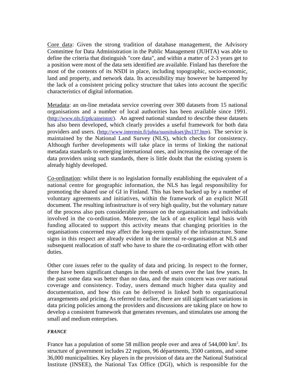Core data: Given the strong tradition of database management, the Advisory Committee for Data Administration in the Public Management (JUHTA) was able to define the criteria that distinguish "core data", and within a matter of 2-3 years get to a position were most of the data sets identified are available. Finland has therefore the most of the contents of its NSDI in place, including topographic, socio-economic, land and property, and network data. Its accessibility may however be hampered by the lack of a consistent pricing policy structure that takes into account the specific characteristics of digital information.

Metadata: an on-line metadata service covering over 300 datasets from 15 national organisations and a number of local authorities has been available since 1991. (http://www.nls.fi/ptk/aineistot/). An agreed national standard to describe these datasets has also been developed, which clearly provides a useful framework for both data providers and users. (http://www.intermin.fi/juhta/suositukset/jhs137.htm). The service is maintained by the National Land Survey (NLS), which checks for consistency. Although further developments will take place in terms of linking the national metadata standards to emerging international ones, and increasing the coverage of the data providers using such standards, there is little doubt that the existing system is already highly developed.

Co-ordination: whilst there is no legislation formally establishing the equivalent of a national centre for geographic information, the NLS has legal responsibility for promoting the shared use of GI in Finland. This has been backed up by a number of voluntary agreements and initiatives, within the framework of an explicit NGII document. The resulting infrastructure is of very high quality, but the voluntary nature of the process also puts considerable pressure on the organisations and individuals involved in the co-ordination. Moreover, the lack of an explicit legal basis with funding allocated to support this activity means that changing priorities in the organisations concerned may affect the long-term quality of the infrastructure. Some signs in this respect are already evident in the internal re-organisation at NLS and subsequent reallocation of staff who have to share the co-ordinating effort with other duties.

Other core issues refer to the quality of data and pricing. In respect to the former, there have been significant changes in the needs of users over the last few years. In the past some data was better than no data, and the main concern was over national coverage and consistency. Today, users demand much higher data quality and documentation, and how this can be delivered is linked both to organisational arrangements and pricing. As referred to earlier, there are still significant variations in data pricing policies among the providers and discussions are taking place on how to develop a consistent framework that generates revenues, and stimulates use among the small and medium enterprises.

#### *FRANCE*

France has a population of some 58 million people over and area of 544,000 km<sup>2</sup>. Its structure of government includes 22 regions, 96 départments, 3500 cantons, and some 36,000 municipalities. Key players in the provision of data are the National Statistical Institute (INSEE), the National Tax Office (DGI), which is responsible for the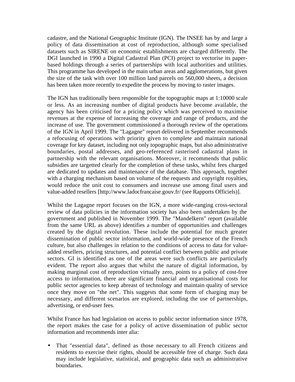cadastre, and the National Geographic Institute (IGN). The INSEE has by and large a policy of data dissemination at cost of reproduction, although some specialised datasets such as SIRENE on economic establishments are charged differently. The DGI launched in 1990 a Digital Cadastral Plan (PCI) project to vectorise its paperbased holdings through a series of partnerships with local authorities and utilities. This programme has developed in the main urban areas and agglomerations, but given the size of the task with over 100 million land parcels on 560,000 sheets, a decision has been taken more recently to expedite the process by moving to raster images.

The IGN has traditionally been responsible for the topographic maps at 1:10000 scale or less. As an increasing number of digital products have become available, the agency has been criticised for a pricing policy which was perceived to maximise revenues at the expense of increasing the coverage and range of products, and the increase of use. The government commissioned a thorough review of the operations of the IGN in April 1999. The "Lagagne" report delivered in September recommends a refocusing of operations with priority given to complete and maintain national coverage for key dataset, including not only topographic maps, but also administrative boundaries, postal addresses, and geo-referenced rasterised cadastral plans in partnership with the relevant organisations. Moreover, it recommends that public subsidies are targetted clearly for the completion of these tasks, whilst fees charged are dedicated to updates and maintenance of the database. This approach, together with a charging mechanism based on volume of the requests and copyright royalties, would reduce the unit cost to consumers and increase use among final users and value-added resellers [http://www.ladocfrancaise.gouv.fr/ (see Rapports Officiels)].

Whilst the Lagagne report focuses on the IGN, a more wide-ranging cross-sectoral review of data policies in the information society has also been undertaken by the government and published in November 1999. The "Mandelkern" report (available from the same URL as above) identifies a number of opportunities and challenges created by the digital revolution. These include the potential for much greater dissemination of public sector information, and world-wide presence of the French culture, but also challenges in relation to the conditions of access to data for valueadded resellers, pricing structures, and potential conflict between public and private sectors. GI is identified as one of the areas were such conflicts are particularly evident. The report also argues that whilst the nature of digital information, by making marginal cost of reproduction virtually zero, points to a policy of cost-free access to information, there are significant financial and organisational costs for public sector agencies to keep abreast of technology and maintain quality of service once they move on "the net". This suggests that some form of charging may be necessary, and different scenarios are explored, including the use of partnerships, advertising, or end-user fees.

Whilst France has had legislation on access to public sector information since 1978, the report makes the case for a policy of active dissemination of public sector information and recommends inter alia:

• That "essential data", defined as those necessary to all French citizens and residents to exercise their rights, should be accessible free of charge. Such data may include legislative, statistical, and geographic data such as administrative boundaries,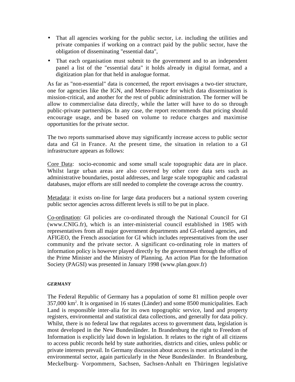- That all agencies working for the public sector, i.e. including the utilities and private companies if working on a contract paid by the public sector, have the obligation of disseminating "essential data",
- That each organisation must submit to the government and to an independent panel a list of the "essential data" it holds already in digital format, and a digitization plan for that held in analogue format.

As far as "non-essential" data is concerned, the report envisages a two-tier structure, one for agencies like the IGN, and Meteo-France for which data dissemination is mission-critical, and another for the rest of public administration. The former will be allow to commercialise data directly, while the latter will have to do so through public-private partnerships. In any case, the report recommends that pricing should encourage usage, and be based on volume to reduce charges and maximise opportunities for the private sector.

The two reports summarised above may significantly increase access to public sector data and GI in France. At the present time, the situation in relation to a GI infrastructure appears as follows:

Core Data: socio-economic and some small scale topographic data are in place. Whilst large urban areas are also covered by other core data sets such as administrative boundaries, postal addresses, and large scale topographic and cadastral databases, major efforts are still needed to complete the coverage across the country.

Metadata: it exists on-line for large data producers but a national system covering public sector agencies across different levels is still to be put in place.

Co-ordination: GI policies are co-ordinated through the National Council for GI (www.CNIG.fr), which is an inter-ministerial council established in 1985 with representatives from all major government departments and GI-related agencies, and AFIGEO, the French association for GI which includes representatives from the user community and the private sector. A significant co-ordinating role in matters of information policy is however played directly by the government through the office of the Prime Minister and the Ministry of Planning. An action Plan for the Information Society (PAGSI) was presented in January 1998 (www.plan.gouv.fr)

#### *GERMANY*

The Federal Republic of Germany has a population of some 81 million people over 357,000 km2 . It is organised in 16 states (Länder) and some 8500 municipalities. Each Land is responsible inter-alia for its own topographic service, land and property registers, environmental and statistical data collections, and generally for data policy. Whilst, there is no federal law that regulates access to government data, legislation is most developed in the New Bundesländer. In Brandenburg the right to Freedom of Information is explicitly laid down in legislation. It relates to the right of all citizens to access public records held by state authorities, districts and cities, unless public or private interests prevail. In Germany discussion about access is most articulated in the environmental sector, again particularly in the Neue Bundesländer. In Brandenburg, Meckelburg- Vorpommern, Sachsen, Sachsen-Anhalt en Thüringen legislative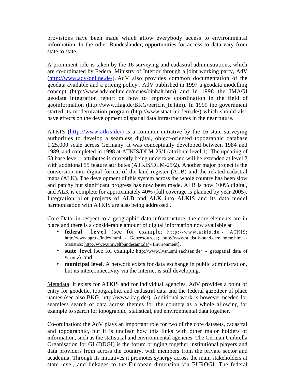provisions have been made which allow everybody access to environmental information. In the other Bundesländer, opportunities for access to data vary from state to state.

A prominent role is taken by the 16 surveying and cadastral administrations, which are co-ordinated by Federal Ministry of Interior through a joint working party, AdV (http://www.adv-online.de/). AdV also provides common documentation of the geodata available and a pricing policy . AdV published in 1997 a geodata modelling concept (http://www.adv-online.de/neues/oinhalt.htm) and in 1998 the IMAGI geodata integration report on how to improve coordination in the field of geoinformation (http://www.ifag.de/BKG/bericht\_fe.htm). In 1999 the government started its modernization program (http://www.staat-modern.de/) which should also have effects on the development of spatial data infrastructures in the near future.

ATKIS  $(\frac{http://www.atkis.de/}{http://www.atkis.de/})$  is a common initiative by the 16 state surveying authorities to develop a seamless digital, object-oriented topographic database 1:25,000 scale across Germany. It was conceptually developed between 1984 and 1989, and completed in 1998 at ATKIS/DLM-25/1 (attribute level 1). The updating of 63 base level 1 attributes is currently being undertaken and will be extended at level 2 with additional 55 feature attributes (ATKIS/DLM-25/2). Another major project is the conversion into digital format of the land register (ALB) and the related cadastral maps (ALK). The development of this system across the whole country has been slow and patchy but significant progress has now been made. ALB is now 100% digital, and ALK is complete for approximately 40% (full coverage is planned by year 2005). Integration pilot projects of ALB and ALK into ALKIS and its data model harmonisation with ATKIS are also being addressed .

Core Data: in respect to a geographic data infrastructure, the core elements are in place and there is a considerable amount of digital information now available at

- **federal level** (see for example: http://www.atkis.de ATKIS; http://www.bgr.de/index.html - Georesources; http://www.statistik-bund.de/e\_home.htm - Statistics; http://www.umweltbundesamt.de/ - Environment),
- **state level** (see for example http://www.lvsn.smi.sachsen.de/ geospatial data of Saxony) and
- **municipal level**. A network exists for data exchange in public administration, but its interconnectivity via the Internet is still developing.

Metadata: it exists for ATKIS and for individual agencies. AdV provides a point of entry for geodetic, topographic, and cadastral data and the federal gazetteer of place names (see also BKG, http://www.ifag.de/). Additional work is however needed for seamless search of data across themes for the country as a whole allowing for example to search for topographic, statistical, and environmental data together.

Co-ordination: the AdV plays an important role for two of the core datasets, cadastral and topographic, but it is unclear how this links with other major holders of information, such as the statistical and environmental agencies. The German Umbrella Organisation for GI (DDGI) is the forum bringing together institutional players and data providers from across the country, with members from the private sector and academia. Through its initiatives it promotes synergy across the main stakeholders at state level, and linkages to the European dimension via EUROGI. The federal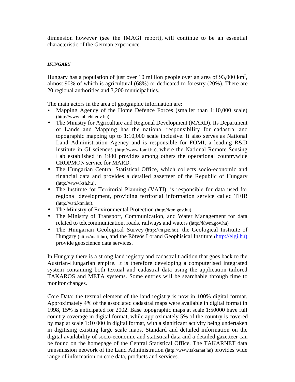dimension however (see the IMAGI report), will continue to be an essential characteristic of the German experience.

#### *HUNGARY*

Hungary has a population of just over 10 million people over an area of 93,000  $\text{km}^2$ , almost 90% of which is agricultural (68%) or dedicated to forestry (20%). There are 20 regional authorities and 3,200 municipalities.

The main actors in the area of geographic information are:

- Mapping Agency of the Home Defence Forces (smaller than 1:10,000 scale) (http://www.mhtehi.gov.hu)
- The Ministry for Agriculture and Regional Development (MARD). Its Department of Lands and Mapping has the national responsibility for cadastral and topographic mapping up to 1:10,000 scale inclusive. It also serves as National Land Administration Agency and is responsible for FÖMI, a leading R&D institute in GI sciences (http://www.fomi.hu), where the National Remote Sensing Lab established in 1980 provides among others the operational countrywide CROPMON service for MARD.
- The Hungarian Central Statistical Office, which collects socio-economic and financial data and provides a detailed gazetteer of the Republic of Hungary (http://www.ksh.hu).
- The Institute for Territorial Planning (VATI), is responsible for data used for regional development, providing territorial information service called TEIR (http://vati.ktm.hu).
- The Ministry of Environmental Protection (http://ktm.gov.hu).
- The Ministry of Transport, Communication, and Water Management for data related to telecommunication, roads, railways and waters (http://khvm.gov.hu)
- The Hungarian Geological Survey (http://mgsz.hu), the Geological Institute of Hungary (http://mafi.hu), and the Eötvös Lorand Geophisical Institute (http://elgi.hu) provide geoscience data services.

In Hungary there is a strong land registry and cadastral tradition that goes back to the Austrian-Hungarian empire. It is therefore developing a computerised integrated system containing both textual and cadastral data using the application tailored TAKAROS and META systems. Some entries will be searchable through time to monitor changes.

Core Data: the textual element of the land registry is now in 100% digital format. Approximately 4% of the associated cadastral maps were available in digital format in 1998, 15% is anticipated for 2002. Base topographic maps at scale 1:50000 have full country coverage in digital format, while approximately 5% of the country is covered by map at scale 1:10 000 in digital format, with a significant activity being undertaken in digitising existing large scale maps. Standard and detailed information on the digital availability of socio-economic and statistical data and a detailed gazetteer can be found on the homepage of the Central Statistical Office. The TAKARNET data transmission network of the Land Administration (http://www.takarnet.hu) provides wide range of information on core data, products and services.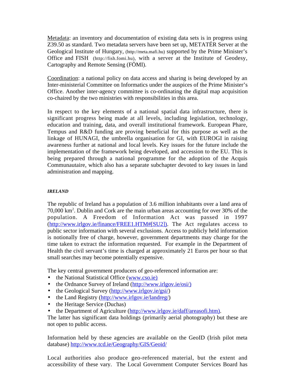Metadata: an inventory and documentation of existing data sets is in progress using Z39.50 as standard. Two metadata servers have been set up, METATÉR Server at the Geological Institute of Hungary, (http://meta.mafi.hu) supported by the Prime Minister's Office and FISH (http://fish.fomi.hu), with a server at the Institute of Geodesy, Cartography and Remote Sensing (FÖMI).

Coordination: a national policy on data access and sharing is being developed by an Inter-ministerial Committee on Informatics under the auspices of the Prime Minister's Office. Another inter-agency committee is co-ordinating the digital map acquisition co-chaired by the two ministries with responsibilities in this area.

In respect to the key elements of a national spatial data infrastructure, there is significant progress being made at all levels, including legislation, technology, education and training, data, and overall institutional framework. European Phare, Tempus and R&D funding are proving beneficial for this purpose as well as the linkage of HUNAGI, the umbrella organisation for GI, with EUROGI in raising awareness further at national and local levels. Key issues for the future include the implementation of the framework being developed, and accession to the EU. This is being prepared through a national programme for the adoption of the Acquis Communautaire, which also has a separate subchapter devoted to key issues in land administration and mapping.

## *IRELAND*

The republic of Ireland has a population of 3.6 million inhabitants over a land area of 70,000 km2 . Dublin and Cork are the main urban areas accounting for over 30% of the population. A Freedom of Information Act was passed in 1997 (http://www.irlgov.ie/finance/FREE1.HTM#[SU2]). The Act regulates access to public sector information with several exclusions. Access to publicly held information is notionally free of charge, however, government departments may charge for the time taken to extract the information requested. For example in the Department of Health the civil servant's time is charged at approximately 21 Euros per hour so that small searches may become potentially expensive.

The key central government producers of geo-referenced information are:

- the National Statistical Office (www.cso.ie)
- the Ordnance Survey of Ireland (http://www.irlgov.ie/osi/)
- the Geological Survey (http://www.irlgov.ie/gsi/)
- the Land Registry (http://www.irlgov.ie/landreg/)
- the Heritage Service (Duchas)
- the Department of Agriculture (http://www.irlgov.ie/daff/areasofi.htm).

The latter has significant data holdings (primarily aerial photography) but these are not open to public access.

Information held by these agencies are available on the GeoID (Irish pilot meta database) http://www.tcd.ie/Geography/GIS/Geoid/

Local authorities also produce geo-referenced material, but the extent and accessibility of these vary. The Local Government Computer Services Board has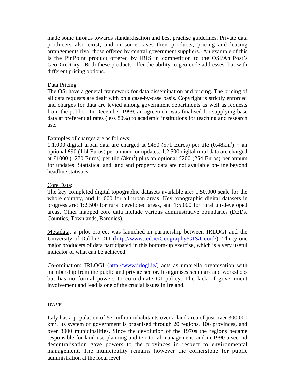made some inroads towards standardisation and best practise guidelines. Private data producers also exist, and in some cases their products, pricing and leasing arrangements rival those offered by central government suppliers. An example of this is the PinPoint product offered by IRIS in competition to the OSi/An Post's GeoDirectory. Both these products offer the ability to geo-code addresses, but with different pricing options.

#### Data Pricing

The OSi have a general framework for data dissemination and pricing. The pricing of all data requests are dealt with on a case-by-case basis. Copyright is strictly enforced and charges for data are levied among government departments as well as requests from the public. In December 1999, an agreement was finalised for supplying base data at preferential rates (less 80%) to academic institutions for teaching and research use.

#### Examples of charges are as follows:

1:1,000 digital urban data are charged at £450 (571 Euros) per tile  $(0.48 \text{km}^2)$  + an optional £90 (114 Euros) per annum for updates. 1:2,500 digital rural data are charged at £1000 (1270 Euros) per tile (3km<sup>2</sup>) plus an optional £200 (254 Euros) per annum for updates. Statistical and land and property data are not available on-line beyond headline statistics.

#### Core Data:

The key completed digital topographic datasets available are: 1:50,000 scale for the whole country, and 1:1000 for all urban areas. Key topographic digital datasets in progress are: 1:2,500 for rural developed areas, and 1:5,000 for rural un-developed areas. Other mapped core data include various administrative boundaries (DEDs, Counties, Townlands, Baronies).

Metadata: a pilot project was launched in partnership between IRLOGI and the University of Dublin/ DIT (http://www.tcd.ie/Geography/GIS/Geoid/). Thirty-one major producers of data participated in this bottom-up exercise, which is a very useful indicator of what can be achieved.

Co-ordination: IRLOGI (http://www.irlogi.ie/) acts as umbrella organisation with membership from the public and private sector. It organises seminars and workshops but has no formal powers to co-ordinate GI policy. The lack of government involvement and lead is one of the crucial issues in Ireland.

#### *ITALY*

Italy has a population of 57 million inhabitants over a land area of just over 300,000 km<sup>2</sup>. Its system of government is organised through 20 regions, 106 provinces, and over 8000 municipalities. Since the devolution of the 1970s the regions became responsible for land-use planning and territorial management, and in 1990 a second decentralisation gave powers to the provinces in respect to environmental management. The municipality remains however the cornerstone for public administration at the local level.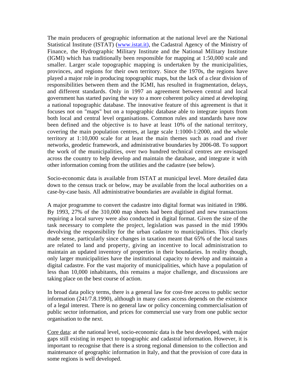The main producers of geographic information at the national level are the National Statistical Institute (ISTAT) (www.istat.it), the Cadastral Agency of the Ministry of Finance, the Hydrographic Military Institute and the National Military Institute (IGMI) which has traditionally been responsible for mapping at 1:50,000 scale and smaller. Larger scale topographic mapping is undertaken by the municipalities, provinces, and regions for their own territory. Since the 1970s, the regions have played a major role in producing topographic maps, but the lack of a clear division of responsibilities between them and the IGMI, has resulted in fragmentation, delays, and different standards. Only in 1997 an agreement between central and local government has started paving the way to a more coherent policy aimed at developing a national topographic database. The innovative feature of this agreement is that it focuses not on "maps" but on a topographic database able to integrate inputs from both local and central level organisations. Common rules and standards have now been defined and the objective is to have at least 10% of the national territory, covering the main population centres, at large scale 1:1000-1:2000, and the whole territory at 1:10,000 scale for at least the main themes such as road and river networks, geodetic framework, and administrative boundaries by 2006-08. To support the work of the municipalities, over two hundred technical centres are envisaged across the country to help develop and maintain the database, and integrate it with other information coming from the utilities and the cadastre (see below).

Socio-economic data is available from ISTAT at municipal level. More detailed data down to the census track or below, may be available from the local authorities on a case-by-case basis. All administrative boundaries are available in digital format.

A major programme to convert the cadastre into digital format was initiated in 1986. By 1993, 27% of the 310,000 map sheets had been digitised and new transactions requiring a local survey were also conducted in digital format. Given the size of the task necessary to complete the project, legislation was passed in the mid 1990s devolving the responsibility for the urban cadastre to municipalities. This clearly made sense, particularly since changes in taxation meant that 65% of the local taxes are related to land and property, giving an incentive to local administration to maintain an updated inventory of properties in their boundaries. In reality though, only larger municipalities have the institutional capacity to develop and maintain a digital cadastre. For the vast majority of municipalities, which have a population of less than 10,000 inhabitants, this remains a major challenge, and discussions are taking place on the best course of action.

In broad data policy terms, there is a general law for cost-free access to public sector information (241/7.8.1990), although in many cases access depends on the existence of a legal interest. There is no general law or policy concerning commercialisation of public sector information, and prices for commercial use vary from one public sector organisation to the next.

Core data: at the national level, socio-economic data is the best developed, with major gaps still existing in respect to topographic and cadastral information. However, it is important to recognise that there is a strong regional dimension to the collection and maintenance of geographic information in Italy, and that the provision of core data in some regions is well developed.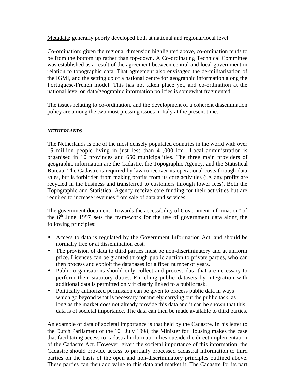Metadata: generally poorly developed both at national and regional/local level.

Co-ordination: given the regional dimension highlighted above, co-ordination tends to be from the bottom up rather than top-down. A Co-ordinating Technical Committee was established as a result of the agreement between central and local government in relation to topographic data. That agreement also envisaged the de-militarisation of the IGMI, and the setting up of a national centre for geographic information along the Portuguese/French model. This has not taken place yet, and co-ordination at the national level on data/geographic information policies is somewhat fragmented.

The issues relating to co-ordination, and the development of a coherent dissemination policy are among the two most pressing issues in Italy at the present time.

#### *NETHERLANDS*

The Netherlands is one of the most densely populated countries in the world with over 15 million people living in just less than 41,000 km2 . Local administration is organised in 10 provinces and 650 municipalities. The three main providers of geographic information are the Cadastre, the Topographic Agency, and the Statistical Bureau. The Cadastre is required by law to recover its operational costs through data sales, but is forbidden from making profits from its core activities (i.e. any profits are recycled in the business and transferred to customers through lower fees). Both the Topographic and Statistical Agency receive core funding for their activities but are required to increase revenues from sale of data and services.

The government document "Towards the accessibility of Government information" of the  $6<sup>th</sup>$  June 1997 sets the framework for the use of government data along the following principles:

- Access to data is regulated by the Government Information Act, and should be normally free or at dissemination cost.
- The provision of data to third parties must be non-discriminatory and at uniform price. Licences can be granted through public auction to private parties, who can then process and exploit the databases for a fixed number of years.
- Public organisations should only collect and process data that are necessary to perform their statutory duties. Enriching public datasets by integration with additional data is permitted only if clearly linked to a public task.
- Politically authorized permission can be given to process public data in ways which go beyond what is necessary for merely carrying out the public task, as long as the market does not already provide this data and it can be shown that this data is of societal importance. The data can then be made available to third parties.

An example of data of societal importance is that held by the Cadastre. In his letter to the Dutch Parliament of the  $10<sup>th</sup>$  July 1998, the Minister for Housing makes the case that facilitating access to cadastral information lies outside the direct implementation of the Cadastre Act. However, given the societal importance of this information, the Cadastre should provide access to partially processed cadastral information to third parties on the basis of the open and non-discriminatory principles outlined above. These parties can then add value to this data and market it. The Cadastre for its part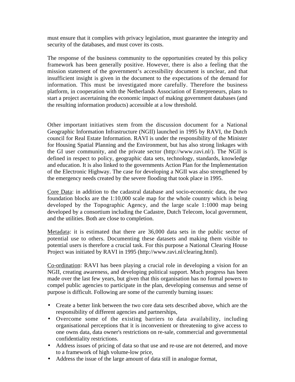must ensure that it complies with privacy legislation, must guarantee the integrity and security of the databases, and must cover its costs.

The response of the business community to the opportunities created by this policy framework has been generally positive. However, there is also a feeling that the mission statement of the government's accessibility document is unclear, and that insufficient insight is given in the document to the expectations of the demand for information. This must be investigated more carefully. Therefore the business platform, in cooperation with the Netherlands Association of Enterpreneurs, plans to start a project ascertaining the economic impact of making government databases (and the resulting information products) accessible at a low threshold.

Other important initiatives stem from the discussion document for a National Geographic Information Infrastructure (NGII) launched in 1995 by RAVI, the Dutch council for Real Estate Information. RAVI is under the responsibility of the Minister for Housing Spatial Planning and the Environment, but has also strong linkages with the GI user community, and the private sector (http://www.ravi.nl/). The NGII is defined in respect to policy, geographic data sets, technology, standards, knowledge and education. It is also linked to the governments Action Plan for the Implementation of the Electronic Highway. The case for developing a NGII was also strengthened by the emergency needs created by the severe flooding that took place in 1995.

Core Data: in addition to the cadastral database and socio-economic data, the two foundation blocks are the 1:10,000 scale map for the whole country which is being developed by the Topographic Agency, and the large scale 1:1000 map being developed by a consortium including the Cadastre, Dutch Telecom, local government, and the utilities. Both are close to completion.

Metadata: it is estimated that there are 36,000 data sets in the public sector of potential use to others. Documenting these datasets and making them visible to potential users is therefore a crucial task. For this purpose a National Clearing House Project was initiated by RAVI in 1995 (http://www.ravi.nl/clearing.html).

Co-ordination: RAVI has been playing a crucial role in developing a vision for an NGII, creating awareness, and developing political support. Much progress has been made over the last few years, but given that this organisation has no formal powers to compel public agencies to participate in the plan, developing consensus and sense of purpose is difficult. Following are some of the currently burning issues:

- Create a better link between the two core data sets described above, which are the responsibility of different agencies and partnerships,
- Overcome some of the existing barriers to data availability, including organisational perceptions that it is inconvenient or threatening to give access to one owns data, data owner's restrictions on re-sale, commercial and governmental confidentiality restrictions.
- Address issues of pricing of data so that use and re-use are not deterred, and move to a framework of high volume-low price,
- Address the issue of the large amount of data still in analogue format,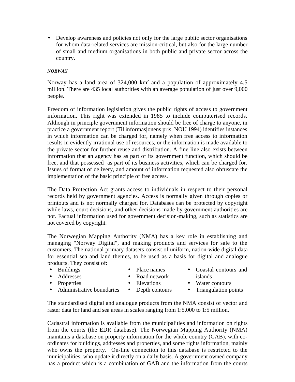• Develop awareness and policies not only for the large public sector organisations for whom data-related services are mission-critical, but also for the large number of small and medium organisations in both public and private sector across the country.

#### *NORWAY*

Norway has a land area of  $324,000 \text{ km}^2$  and a population of approximately 4.5 million. There are 435 local authorities with an average population of just over 9,000 people.

Freedom of information legislation gives the public rights of access to government information. This right was extended in 1985 to include computerised records. Although in principle government information should be free of charge to anyone, in practice a government report (Til informasjonens pris, NOU 1994) identifies instances in which information can be charged for, namely when free access to information results in evidently irrational use of resources, or the information is made available to the private sector for further reuse and distribution. A fine line also exists between information that an agency has as part of its government function, which should be free, and that possessed as part of its business activities, which can be charged for. Issues of format of delivery, and amount of information requested also obfuscate the implementation of the basic principle of free access.

The Data Protection Act grants access to individuals in respect to their personal records held by government agencies. Access is normally given through copies or printouts and is not normally charged for. Databases can be protected by copyright while laws, court decisions, and other decisions made by government authorities are not. Factual information used for government decision-making, such as statistics are not covered by copyright.

The Norwegian Mapping Authority (NMA) has a key role in establishing and managing "Norway Digital", and making products and services for sale to the customers. The national primary datasets consist of uniform, nation-wide digital data for essential sea and land themes, to be used as a basis for digital and analogue products. They consist of:

• Buildings

- Place names
- Road network
- Addresses • Properties
- Elevations
- Coastal contours and islands
- Water contours
- Administrative boundaries Depth contours
- Triangulation points

The standardised digital and analogue products from the NMA consist of vector and raster data for land and sea areas in scales ranging from 1:5,000 to 1:5 million.

Cadastral information is available from the municipalities and information on rights from the courts (the EDR database). The Norwegian Mapping Authority (NMA) maintains a database on property information for the whole country (GAB), with coordinates for buildings, addresses and properties, and some rights information, mainly who owns the property. On-line connection to this database is restricted to the municipalities, who update it directly on a daily basis. A government owned company has a product which is a combination of GAB and the information from the courts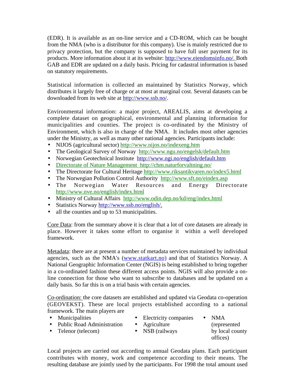(EDR). It is available as an on-line service and a CD-ROM, which can be bought from the NMA (who is a distributor for this company). Use is mainly restricted due to privacy protection, but the company is supposed to have full user payment for its products. More information about it at its website: http://www.eiendomsinfo.no/. Both GAB and EDR are updated on a daily basis. Pricing for cadastral information is based on statutory requirements.

Statistical information is collected an maintained by Statistics Norway, which distributes it largely free of charge or at most at marginal cost. Several datasets can be downloaded from its web site at http://www.ssb.no/.

Environmental information: a major project, AREALIS, aims at developing a complete dataset on geographical, environmental and planning information for municipalities and counties. The project is co-ordinated by the Ministry of Environment, which is also in charge of the NMA. It includes most other agencies under the Ministry, as well as many other national agencies. Participants include:

- NIJOS (agricultural sector) http://www.nijos.no/indexeng.htm
- The Geological Survey of Norway http://www.ngu.no/engelsk/default.htm
- Norwegian Geotechnical Institute http://www.ngi.no/english/default.htm
- Directorate of Nature Management http://chm.naturforvaltning.no/
- The Directorate for Cultural Heritage http://www.riksantikvaren.no/index5.html
- The Norwegian Pollution Control Authority http://www.sft.no/eindex.asp
- The Norwegian Water Resources and Energy Directorate http://www.nve.no/english/index.html
- Ministry of Cultural Affairs http://www.odin.dep.no/kd/eng/index.html
- Statistics Norway http://www.ssb.no/english/,
- all the counties and up to 53 municipalities.

Core Data: from the summary above it is clear that a lot of core datasets are already in place. However it takes some effort to organise it within a well developed framework.

Metadata: there are at present a number of metadata services maintained by individual agencies, such as the NMA's (www.statkart.no) and that of Statistics Norway. A National Geographic Information Center (NGIS) is being established to bring together in a co-ordinated fashion these different access points. NGIS will also provide a online connection for those who want to subscribe to databases and be updated on a daily basis. So far this is on a trial basis with certain agencies.

Co-ordination: the core datasets are established and updated via Geodata co-operation (GEOVEKST). These are local projects established according to a national framework. The main players are

• Municipalities • Public Road Administration • Telenor (telecom) • Electricity companies • Agriculture • NSB (railways • NMA (represented by local county offices)

Local projects are carried out according to annual Geodata plans. Each participant contributes with money, work and competence according to their means. The resulting database are jointly used by the participants. For 1998 the total amount used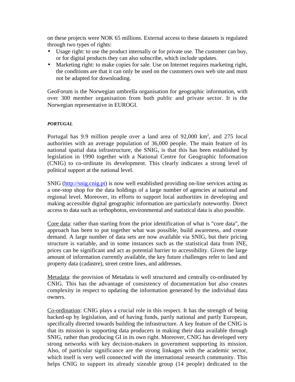on these projects were NOK 65 millions. External access to these datasets is regulated through two types of rights:

- Usage right: to use the product internally or for private use. The customer can buy, or for digital products they can also subscribe, which include updates.
- Marketing right: to make copies for sale. Use on Internet requires marketing right, the conditions are that it can only be used on the customers own web site and must not be adapted for downloading.

GeoForum is the Norwegian umbrella organisation for geographic information, with over 300 member organisation from both public and private sector. It is the Norwegian representative in EUROGI.

#### *PORTUGAL*

Portugal has 9.9 million people over a land area of  $92,000 \text{ km}^2$ , and  $275 \text{ local}$ authorities with an average population of 36,000 people. The main feature of its national spatial data infrastructure, the SNIG, is that this has been established by legislation in 1990 together with a National Centre for Geographic Information (CNIG) to co-ordinate its development. This clearly indicates a strong level of political support at the national level.

SNIG (http://snig.cnig.pt) is now well established providing on-line services acting as a one-stop shop for the data holdings of a large number of agencies at national and regional level. Moreover, its efforts to support local authorities in developing and making accessible digital geographic information are particularly noteworthy. Direct access to data such as orthophotos, environmental and statistical data is also possible.

Core data: rather than starting from the prior identification of what is "core data", the approach has been to put together what was possible, build awareness, and create demand. A large number of data sets are now available via SNIG, but their pricing structure is variable, and in some instances such as the statistical data from INE, prices can be significant and act as potential barrier to accessibility. Given the large amount of information currently available, the key future challenges refer to land and property data (cadastre), street centre lines, and addresses.

Metadata: the provision of Metadata is well structured and centrally co-ordinated by CNIG. This has the advantage of consistency of documentation but also creates complexity in respect to updating the information generated by the individual data owners.

Co-ordination: CNIG plays a crucial role in this respect. It has the strength of being backed-up by legislation, and of having funds, partly national and partly European, specifically directed towards building the infrastructure. A key feature of the CNIG is that its mission is supporting data producers in making their data available through SNIG, rather than producing GI in its own right. Moreover, CNIG has developed very strong networks with key decision-makers in government supporting its mission. Also, of particular significance are the strong linkages with the academic sector, which itself is very well connected with the international research community. This helps CNIG to support its already sizeable group (14 people) dedicated to the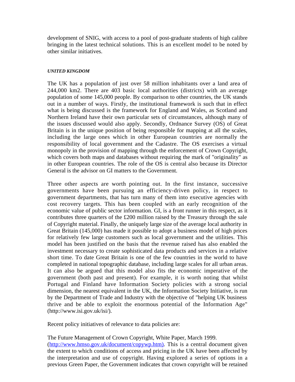development of SNIG, with access to a pool of post-graduate students of high calibre bringing in the latest technical solutions. This is an excellent model to be noted by other similar initiatives.

#### *UNITED KINGDOM*

The UK has a population of just over 58 million inhabitants over a land area of 244,000 km2. There are 403 basic local authorities (districts) with an average population of some 145,000 people. By comparison to other countries, the UK stands out in a number of ways. Firstly, the institutional framework is such that in effect what is being discussed is the framework for England and Wales, as Scotland and Northern Ireland have their own particular sets of circumstances, although many of the issues discussed would also apply. Secondly, Ordnance Survey (OS) of Great Britain is in the unique position of being responsible for mapping at all the scales, including the large ones which in other European countries are normally the responsibility of local government and the Cadastre. The OS exercises a virtual monopoly in the provision of mapping through the enforcement of Crown Copyright, which covers both maps and databases without requiring the mark of "originality" as in other European countries. The role of the OS is central also because its Director General is the advisor on GI matters to the Government.

Three other aspects are worth pointing out. In the first instance, successive governments have been pursuing an efficiency-driven policy, in respect to government departments, that has turn many of them into executive agencies with cost recovery targets. This has been coupled with an early recognition of the economic value of public sector information. GI, is a front runner in this respect, as it contributes three quarters of the £200 million raised by the Treasury through the sale of Copyright material. Finally, the uniquely large size of the average local authority in Great Britain (145,000) has made it possible to adopt a business model of high prices for relatively few large customers such as local government and the utilities. This model has been justified on the basis that the revenue raised has also enabled the investment necessary to create sophisticated data products and services in a relative short time. To date Great Britain is one of the few countries in the world to have completed in national topographic database, including large scales for all urban areas. It can also be argued that this model also fits the economic imperative of the government (both past and present). For example, it is worth noting that whilst Portugal and Finland have Information Society policies with a strong social dimension, the nearest equivalent in the UK, the Information Society Initiative, is run by the Department of Trade and Industry with the objective of "helping UK business thrive and be able to exploit the enormous potential of the Information Age" (http://www.isi.gov.uk/isi/).

Recent policy initiatives of relevance to data policies are:

The Future Management of Crown Copyright, White Paper, March 1999. (http://www.hmso.gov.uk/document/copywp.htm). This is a central document given the extent to which conditions of access and pricing in the UK have been affected by the interpretation and use of copyright. Having explored a series of options in a previous Green Paper, the Government indicates that crown copyright will be retained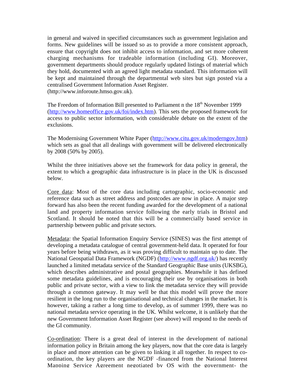in general and waived in specified circumstances such as government legislation and forms. New guidelines will be issued so as to provide a more consistent approach, ensure that copyright does not inhibit access to information, and set more coherent charging mechanisms for tradeable information (including GI). Moreover, government departments should produce regularly updated listings of material which they hold, documented with an agreed light metadata standard. This information will be kept and maintained through the departmental web sites but sign posted via a centralised Government Information Asset Register. (http://www.inforoute.hmso.gov.uk).

The Freedom of Information Bill presented to Parliament n the 18<sup>th</sup> November 1999 (http://www.homeoffice.gov.uk/foi/index.htm). This sets the proposed framework for access to public sector information, with considerable debate on the extent of the exclusions.

The Modernising Government White Paper (http://www.citu.gov.uk/moderngov.htm) which sets as goal that all dealings with government will be delivered electronically by 2008 (50% by 2005).

Whilst the three initiatives above set the framework for data policy in general, the extent to which a geographic data infrastructure is in place in the UK is discussed below.

Core data: Most of the core data including cartographic, socio-economic and reference data such as street address and postcodes are now in place. A major step forward has also been the recent funding awarded for the development of a national land and property information service following the early trials in Bristol and Scotland. It should be noted that this will be a commercially based service in partnership between public and private sectors.

Metadata: the Spatial Information Enquiry Service (SINES) was the first attempt of developing a metadata catalogue of central government-held data. It operated for four years before being withdrawn, as it was proving difficult to maintain up to date. The National Geospatial Data Framework (NGDF) (http://www.ngdf.org.uk/) has recently launched a limited metadata service of the Standard Geographic Base units (UKSBG), which describes administrative and postal geographies. Meanwhile it has defined some metadata guidelines, and is encouraging their use by organisations in both public and private sector, with a view to link the metadata service they will provide through a common gateway. It may well be that this model will prove the more resilient in the long run to the organisational and technical changes in the market. It is however, taking a rather a long time to develop, as of summer 1999, there was no national metadata service operating in the UK. Whilst welcome, it is unlikely that the new Government Information Asset Register (see above) will respond to the needs of the GI community.

Co-ordination: There is a great deal of interest in the development of national information policy in Britain among the key players, now that the core data is largely in place and more attention can be given to linking it all together. In respect to coordination, the key players are the NGDF -financed from the National Interest Mapping Service Agreement negotiated by OS with the government- the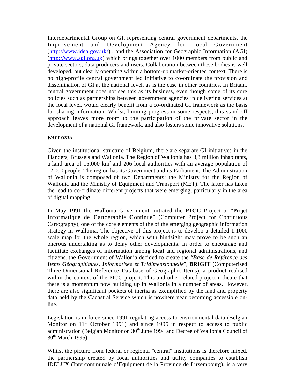Interdepartmental Group on GI, representing central government departments, the Improvement and Development Agency for Local Government (http://www.idea.gov.uk/) , and the Association for Geographic Information (AGI) (http://www.agi.org.uk) which brings together over 1000 members from public and private sectors, data producers and users. Collaboration between these bodies is well developed, but clearly operating within a bottom-up market-oriented context. There is no high-profile central government led initiative to co-ordinate the provision and dissemination of GI at the national level, as is the case in other countries. In Britain, central government does not see this as its business, even though some of its core policies such as partnerships between government agencies in delivering services at the local level, would clearly benefit from a co-ordinated GI framework as the basis for sharing information. Whilst, limiting progress in some respects, this stand-off approach leaves more room to the participation of the private sector in the development of a national GI framework, and also fosters some innovative solutions.

#### *WALLONIA*

Given the institutional structure of Belgium, there are separate GI initiatives in the Flanders, Brussels and Wallonia. The Region of Wallonia has 3,3 million inhabitants, a land area of 16,000 km<sup>2</sup> and 206 local authorities with an average population of 12,000 people. The region has its Government and its Parliament. The Administration of Wallonia is composed of two Departments: the Ministry for the Region of Wallonia and the Ministry of Equipment and Transport (MET). The latter has taken the lead to co-ordinate different projects that were emerging, particularly in the area of digital mapping.

In May 1991 the Wallonia Government initiated the **PICC** Project or "**P**rojet **I**nformatique de **C**artographie **C**ontinue" (Computer Project for Continuous Cartography), one of the core elements of the of the emerging geographic information strategy in Wallonia. The objective of this project is to develop a detailed 1:1000 scale map for the whole region, which with hindsight may prove to be such an onerous undertaking as to delay other developments. In order to encourage and facilitate exchanges of information among local and regional administrations, and citizens, the Government of Wallonia decided to create the "*Base de Référence des Items Géographiques, Informatisée et Tridimensionnelle*", **BRIGIT** (Computerised Three-Dimensional Reference Database of Geographic Items), a product realised within the context of the PICC project. This and other related project indicate that there is a momentum now building up in Wallonia in a number of areas. However, there are also significant pockets of inertia as exemplified by the land and property data held by the Cadastral Service which is nowhere near becoming accessible online.

Legislation is in force since 1991 regulating access to environmental data (Belgian Monitor on  $11<sup>th</sup>$  October 1991) and since 1995 in respect to access to public administration (Belgian Monitor on 30<sup>th</sup> June 1994 and Decree of Wallonia Council of  $30<sup>th</sup>$  March 1995)

Whilst the picture from federal or regional "central" institutions is therefore mixed, the partnership created by local authorities and utility companies to establish IDELUX (Intercommunale d'Equipment de la Province de Luxembourg), is a very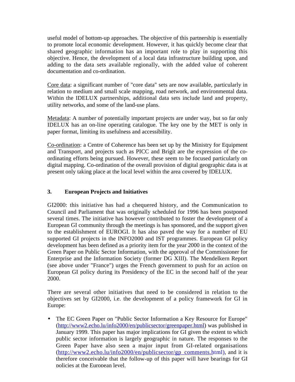useful model of bottom-up approaches. The objective of this partnership is essentially to promote local economic development. However, it has quickly become clear that shared geographic information has an important role to play in supporting this objective. Hence, the development of a local data infrastructure building upon, and adding to the data sets available regionally, with the added value of coherent documentation and co-ordination.

Core data: a significant number of "core data" sets are now available, particularly in relation to medium and small scale mapping, road network, and environmental data. Within the IDELUX partnerships, additional data sets include land and property, utility networks, and some of the land-use plans.

Metadata: A number of potentially important projects are under way, but so far only IDELUX has an on-line operating catalogue. The key one by the MET is only in paper format, limiting its usefulness and accessibility.

Co-ordination: a Centre of Coherence has been set up by the Ministry for Equipment and Transport, and projects such as PICC and Brigit are the expression of the coordinating efforts being pursued. However, these seem to be focused particularly on digital mapping. Co-ordination of the overall provision of digital geographic data is at present only taking place at the local level within the area covered by IDELUX.

# **3. European Projects and Initiatives**

GI2000: this initiative has had a chequered history, and the Communication to Council and Parliament that was originally scheduled for 1996 has been postponed several times. The initiative has however contributed to foster the development of a European GI community through the meetings is has sponsored, and the support given to the establishment of EUROGI. It has also paved the way for a number of EU supported GI projects in the INFO2000 and IST programmes. European GI policy development has been defined as a priority item for the year 2000 in the context of the Green Paper on Public Sector Information, with the approval of the Commissioner for Enterprise and the Information Society (former DG XIII). The Mendelkern Report (see above under "France") urges the French government to push for an action on European GI policy during its Presidency of the EC in the second half of the year 2000.

There are several other initiatives that need to be considered in relation to the objectives set by GI2000, i.e. the development of a policy framework for GI in Europe:

• The EC Green Paper on "Public Sector Information a Key Resource for Europe" (http://www2.echo.lu/info2000/en/publicsector/greenpaper.html) was published in January 1999. This paper has major implications for GI given the extent to which public sector information is largely geographic in nature. The responses to the Green Paper have also seen a major input from GI-related organisations (http://www2.echo.lu/info2000/en/publicsector/gp\_comments.html), and it is therefore conceivable that the follow-up of this paper will have bearings for GI policies at the European level.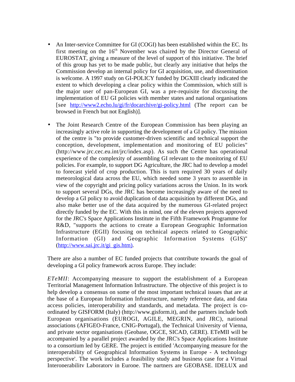- An Inter-service Committee for GI (COGI) has been established within the EC. Its first meeting on the  $16<sup>th</sup>$  November was chaired by the Director General of EUROSTAT, giving a measure of the level of support of this initiative. The brief of this group has yet to be made public, but clearly any initiative that helps the Commission develop an internal policy for GI acquisition, use, and dissemination is welcome. A 1997 study on GI-POLICY funded by DGXIII clearly indicated the extent to which developing a clear policy within the Commission, which still is the major user of pan-European GI, was a pre-requisite for discussing the implementation of EU GI policies with member states and national organisations [see http://www2.echo.lu/gi/fr/docarchive/gi-policy.html (The report can be browsed in French but not English)].
- The Joint Research Centre of the European Commission has been playing an increasingly active role in supporting the development of a GI policy. The mission of the centre is "to provide customer-driven scientific and technical support the conception, development, implementation and monitoring of EU policies" (http://www.jrc.cec.eu.int/jrc/index.asp). As such the Centre has operational experience of the complexity of assembling GI relevant to the monitoring of EU policies. For example, to support DG Agriculture, the JRC had to develop a model to forecast yield of crop production. This is turn required 30 years of daily meteorological data across the EU, which needed some 3 years to assemble in view of the copyright and pricing policy variations across the Union. In its work to support several DGs, the JRC has become increasingly aware of the need to develop a GI policy to avoid duplication of data acquisition by different DGs, and also make better use of the data acquired by the numerous GI-related project directly funded by the EC. With this in mind, one of the eleven projects approved for the JRC's Space Applications Institute in the Fifth Framework Programme for R&D, "supports the actions to create a European Geographic Information Infrastructure (EGII) focusing on technical aspects related to Geographic Information (GI) and Geographic Information Systems (GIS)" (http://www.sai.jrc.it/gi\_gis.htm).

There are also a number of EC funded projects that contribute towards the goal of developing a GI policy framework across Europe. They include:

*ETeMII*: Accompanying measure to support the establishment of a European Territorial Management Information Infrastructure. The objective of this project is to help develop a consensus on some of the most important technical issues that are at the base of a European Information Infrastructure, namely reference data, and data access policies, interoperability and standards, and metadata. The project is coordinated by GISFORM (Italy) (http://www.gisform.it), and the partners include both European organisations (EUROGI, AGILE, MEGRIN, and JRC), national associations (AFIGEO-France, CNIG-Portugal), the Technical University of Vienna, and private sector organisations (Geobase, OGCE, SICAD, GERE). ETeMII will be accompanied by a parallel project awarded by the JRC's Space Applications Institute to a consortium led by GERE. The project is entitled 'Accompanying measure for the interoperability of Geographical Information Systems in Europe - A technology perspective'. The work includes a feasibility study and business case for a Virtual Interoperability Laboratory in Europe. The partners are GEOBASE, IDELUX and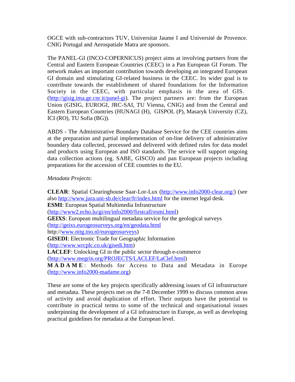OGCE with sub-contractors TUV, Universitat Jaume I and Université de Provence. CNIG Portugal and Aerospatiale Matra are sponsors.

The PANEL-GI (INCO-COPERNICUS) project aims at involving partners from the Central and Eastern European Countries (CEEC) in a Pan European GI Forum. The network makes an important contribution towards developing an integrated European GI domain and stimulating GI-related business in the CEEC. Its wider goal is to contribute towards the establishment of shared foundations for the Information Society in the CEEC, with particular emphasis in the area of GIS. (http://gisig.ima.ge.cnr.it/panel-gi). The project partners are: from the European Union (GISIG, EUROGI, JRC-SAI, TU Vienna, CNIG) and from the Central and Eastern European Countries (HUNAGI (H), GISPOL (P), Masaryk University (CZ), ICI (RO), TU Sofia (BG)).

ABDS - The Administrative Boundary Database Service for the CEE countries aims at the preparation and partial implementation of on-line delivery of administrative boundary data collected, processed and delivered with defined rules for data model and products using European and ISO standards. The service will support ongoing data collection actions (eg. SABE, GISCO) and pan European projects including preparations for the accession of CEE countries to the EU.

#### *Metadata Projects*:

**CLEAR**: Spatial Clearinghouse Saar-Lor-Lux (http://www.info2000-clear.org/) (see also http://www.jura.uni-sb.de/clear/fr/index.html for the internet legal desk. **ESMI**: European Spatial Multimedia Infrastructure (http://www2.echo.lu/gi/en/info2000/firstcall/esmi.html) **GEIXS**: European multilingual metadata service for the geological surveys (http://geixs.eurogeosurveys.org/en/geodata.html http://www.nitg.tno.nl/eurogeosurveys) **GISEDI**: Electronic Trade for Geographic Information (http://www.wrcplc.co.uk/gisedi.htm) **LACLEF**: Unlocking GI in the public sector through e-commerce (http://www.megrin.org/PROJECTS/LACLEF/LaClef.html) **MADAME** : Methods for Access to Data and Metadata in Europe (http://www.info2000-madame.org)

These are some of the key projects specifically addressing issues of GI infrastructure and metadata. These projects met on the 7-8 December 1999 to discuss common areas of activity and avoid duplication of effort. Their outputs have the potential to contribute in practical terms to some of the technical and organisational issues underpinning the development of a GI infrastructure in Europe, as well as developing practical guidelines for metadata at the European level.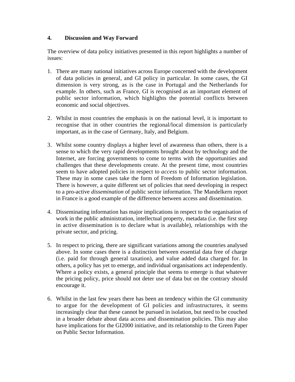#### **4. Discussion and Way Forward**

The overview of data policy initiatives presented in this report highlights a number of issues:

- 1. There are many national initiatives across Europe concerned with the development of data policies in general, and GI policy in particular. In some cases, the GI dimension is very strong, as is the case in Portugal and the Netherlands for example. In others, such as France, GI is recognised as an important element of public sector information, which highlights the potential conflicts between economic and social objectives.
- 2. Whilst in most countries the emphasis is on the national level, it is important to recognise that in other countries the regional/local dimension is particularly important, as in the case of Germany, Italy, and Belgium.
- 3. Whilst some country displays a higher level of awareness than others, there is a sense to which the very rapid developments brought about by technology and the Internet, are forcing governments to come to terms with the opportunities and challenges that these developments create. At the present time, most countries seem to have adopted policies in respect to *access* to public sector information. These may in some cases take the form of Freedom of Information legislation. There is however, a quite different set of policies that need developing in respect to a pro-active *dissemination* of public sector information. The Mandelkern report in France is a good example of the difference between access and dissemination.
- 4. Disseminating information has major implications in respect to the organisation of work in the public administration, intellectual property, metadata (i.e. the first step in active dissemination is to declare what is available), relationships with the private sector, and pricing.
- 5. In respect to pricing, there are significant variations among the countries analysed above. In some cases there is a distinction between essential data free of charge (i.e. paid for through general taxation), and value added data charged for. In others, a policy has yet to emerge, and individual organisations act independently. Where a policy exists, a general principle that seems to emerge is that whatever the pricing policy, price should not deter use of data but on the contrary should encourage it.
- 6. Whilst in the last few years there has been an tendency within the GI community to argue for the development of GI policies and infrastructures, it seems increasingly clear that these cannot be pursued in isolation, but need to be couched in a broader debate about data access and dissemination policies. This may also have implications for the GI2000 initiative, and its relationship to the Green Paper on Public Sector Information.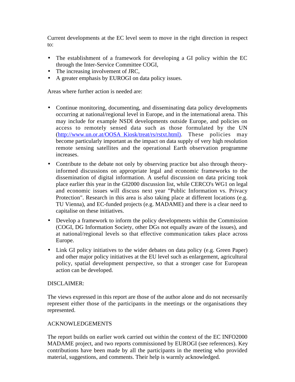Current developments at the EC level seem to move in the right direction in respect to:

- The establishment of a framework for developing a GI policy within the EC through the Inter-Service Committee COGI,
- The increasing involvement of JRC,
- A greater emphasis by EUROGI on data policy issues.

Areas where further action is needed are:

- Continue monitoring, documenting, and disseminating data policy developments occurring at national/regional level in Europe, and in the international arena. This may include for example NSDI developments outside Europe, and policies on access to remotely sensed data such as those formulated by the UN (http://www.un.or.at/OOSA\_Kiosk/treat/rs/rstxt.html). These policies may become particularly important as the impact on data supply of very high resolution remote sensing satellites and the operational Earth observation programme increases.
- Contribute to the debate not only by observing practice but also through theoryinformed discussions on appropriate legal and economic frameworks to the dissemination of digital information. A useful discussion on data pricing took place earlier this year in the GI2000 discussion list, while CERCO's WG1 on legal and economic issues will discuss next year "Public Information vs. Privacy Protection". Research in this area is also taking place at different locations (e.g. TU Vienna), and EC-funded projects (e.g. MADAME) and there is a clear need to capitalise on these initiatives.
- Develop a framework to inform the policy developments within the Commission (COGI, DG Information Society, other DGs not equally aware of the issues), and at national/regional levels so that effective communication takes place across Europe.
- Link GI policy initiatives to the wider debates on data policy (e.g. Green Paper) and other major policy initiatives at the EU level such as enlargement, agricultural policy, spatial development perspective, so that a stronger case for European action can be developed.

#### DISCLAIMER:

The views expressed in this report are those of the author alone and do not necessarily represent either those of the participants in the meetings or the organisations they represented.

## ACKNOWLEDGEMENTS

The report builds on earlier work carried out within the context of the EC INFO2000 MADAME project, and two reports commissioned by EUROGI (see references). Key contributions have been made by all the participants in the meeting who provided material, suggestions, and comments. Their help is warmly acknowledged.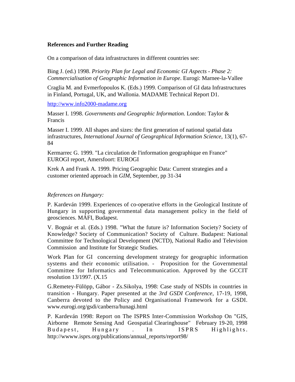#### **References and Further Reading**

On a comparison of data infrastructures in different countries see:

Bing J. (ed.) 1998. *Priority Plan for Legal and Economic GI Aspects - Phase 2: Commercialisation of Geographic Information in Europe*. Eurogi: Marnee-la-Vallee

Craglia M. and Evmerfopoulos K. (Eds.) 1999. Comparison of GI data Infrastructures in Finland, Portugal, UK, and Wallonia. MADAME Technical Report D1.

http://www.info2000-madame.org

Masser I. 1998. *Governments and Geographic Information*. London: Taylor & Francis

Masser I. 1999. All shapes and sizes: the first generation of national spatial data infrastructures, *International Journal of Geographical Information Science*, 13(1), 67- 84

Kermarrec G. 1999. "La circulation de l'information geographique en France" EUROGI report, Amersfoort: EUROGI

Krek A and Frank A. 1999. Pricing Geographic Data: Current strategies and a customer oriented approach in *GIM*, September, pp 31-34

#### *References on Hungary:*

P. Kardeván 1999. Experiences of co-operative efforts in the Geological Institute of Hungary in supporting governmental data management policy in the field of geosciences. MÁFI, Budapest.

V. Bognár et al. (Eds.) 1998. "What the future is? Information Society? Society of Knowledge? Society of Communication? Society of Culture. Budapest: National Committee for Technological Development (NCTD), National Radio and Television Commission and Institute for Strategic Studies.

Work Plan for GI concerning development strategy for geographic information systems and their economic utilisation. - Proposition for the Governmental Committee for Informatics and Telecommunication. Approved by the GCCIT resolution 13/1997. (X.15

G.Remetey-Fülöpp, Gábor - Zs.Sikolya, 1998: Case study of NSDIs in countries in transition - Hungary. Paper presented at the *3rd GSDI Conference*, 17-19, 1998, Canberra devoted to the Policy and Organisational Framework for a GSDI. www.eurogi.org/gsdi/canberra/hunagi.html

P. Kardeván 1998: Report on The ISPRS Inter-Commission Workshop On "GIS, Airborne Remote Sensing And Geospatial Clearinghouse" February 19-20, 1998 Budapest, Hungary . In ISPRS Highlights. http://wwww.isprs.org/publications/annual\_reports/report98/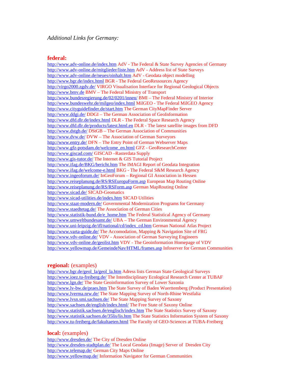#### **federal:**

http://www.adv-online.de/index.htm AdV - The Federal & State Survey Agencies of Germany http://www.adv-online.de/mitglieder/liste.htm AdV - Address list of State Surveys http://www.adv-online.de/neues/oinhalt.htm AdV - Geodata object modelling http://www.bgr.de/index.html BGR - The Federal GeoRessources Agency http://virgo2000.zgdv.de/ VIRGO Visualisation Interface for Regional Geological Objects http://www.bmv.de BMV – The Federal Ministry of Transport http://www.bundesregierung.de/02/0201/innen/ BMI – The Federal Ministry of Interior http://www.bundeswehr.de/milgeo/index.html MilGEO - The Federal MilGEO Agency http://www.cityguidefinder.de/start.htm The German CityMapFinder Server http://www.ddgi.de/ DDGI – The German Association of GeoInformation http://www.dfd.dlr.de/index.html DLR - The Federal Space Research Agency http://www.dfd.dlr.de/products/latest.html.en DLR - The latest satellite images from DFD http://www.dstgb.de/ DStGB – The German Association of Communities http://www.dvw.de/ DVW – The Association of German Surveyors http://www.entry.de/ DFN – The Entry Point of German Webserver Maps http://www.gfz-potsdam.de/welcome\_en.html GFZ - GeoResearchCenter http://www.giscad.com/ GISCAD –Rasterdata Supply http://www.gis-tutor.de/ The Internet & GIS Tutorial Project http://www.ifag.de/BKG/bericht.htm The IMAGI Report of Geodata Integration http://www.ifag.de/welcome-e.html BKG - The Federal S&M Research Agency http://www.ingeoforum.de/ InGeoForum – Regional GI Association in Hessen http://www.reiseplanung.de/RS/RSEuropaForm.asp European Map Routing Online http://www.reiseplanung.de/RS/RSForm.asp German MapRouting Online http://www.sicad.de/ SICAD-Geomatics http://www.sicad-utilities.de/index.htm SICAD Utilities http://www.staat-modern.de/ Governmental Modernization Programs for Germany http://www.staedtetag.de/ The Association of German Cities http://www.statistik-bund.de/e\_home.htm The Federal Statistical Agency of Germany http://www.umweltbundesamt.de/ UBA – The German Environmental Agency http://www.uni-leipzig.de/ifl/national/cd/index\_cd.htm German National Atlas Project http://www.varta-guide.de/ The Accomodation, Mapping & Navigation Site of FRG http://www.vdv-online.de/ VDV - Association of German Surveying Engineers http://www.vdv-online.de/geolist.htm VDV - The Geoinformation Homepage of VDV http://www.yellowmap.de/GemeindeNav/HTML/frames.asp Infoserver for German Communities

#### **regional:** (examples)

http://www.bgr.de/geol\_la/geol\_la.htm Adress lists German State Geological Surveys http://www.ioez.tu-freiberg.de/ The Interdisciplinary Ecological Research Center at TUBAF http://www.lgn.de/ The State Geoinformation Survey of Lower Saxonia http://www.lv-bw.de/praes.htm The State Survey of Baden Wuerttemberg (Product Presentation) http://www.lverma.nrw.de/ The State Mapping Survey of North-Rhine Westfalia http://www.lvsn.smi.sachsen.de/ The State Mapping Survey of Saxony http://www.sachsen.de/english/index.html/ The Free State of Saxony Online http://www.statistik.sachsen.de/englisch/index.htm The State Statistics Survey of Saxony http://www.statistik.sachsen.de/35lis/lis.htm The State Statistics Information System of Saxony http://www.tu-freiberg.de/fakultaeten.html The Faculty of GEO-Sciences at TUBA-Freiberg

#### **local:** (examples)

http://www.dresden.de/ The City of Dresden Online http://www.dresden-stadtplan.de/ The Local Geodata (Image) Server of Dresden City http://www.telemap.de/ German City Maps Online http://www.yellowmap.de/ Information Navigator for German Communities